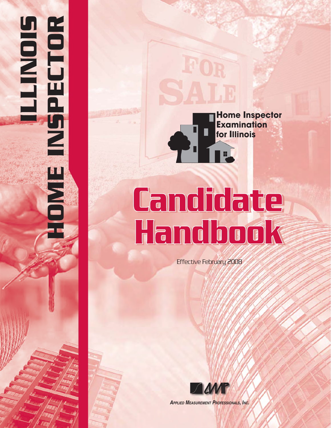

# Candidate Handbook

ILLINOIS

HOME INSPECTOR

**CONSIDERING WORK** 

Effective February 2008



*APPLIED MEASUREMENT PROFESSIONALS, INC.*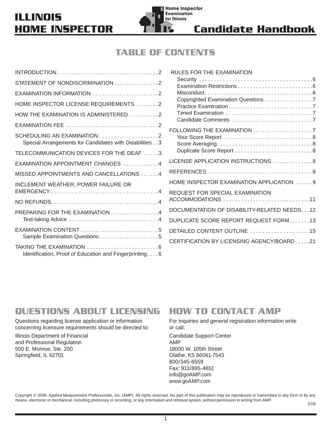

HOME INSPECTOR T'II's Candidate Handbook

## TABLE OF CONTENTS

| STATEMENT OF NONDISCRIMINATION2                         |
|---------------------------------------------------------|
| EXAMINATION INFORMATION 2                               |
| HOME INSPECTOR LICENSE REQUIREMENTS2                    |
| HOW THE EXAMINATION IS ADMINISTERED 2                   |
| EXAMINATION FEE 2                                       |
| Special Arrangements for Candidates with Disabilities 3 |
| TELECOMMUNICATION DEVICES FOR THE DEAF 3                |
| EXAMINATION APPOINTMENT CHANGES 4                       |
| MISSED APPOINTMENTS AND CANCELLATIONS 4                 |
| INCLEMENT WEATHER, POWER FAILURE OR                     |
|                                                         |
| PREPARING FOR THE EXAMINATION 4                         |
| EXAMINATION CONTENT 5<br>Sample Examination Questions5  |
| Identification, Proof of Education and Fingerprinting6  |

| <b>RULES FOR THE EXAMINATION</b>            |
|---------------------------------------------|
|                                             |
|                                             |
|                                             |
| Copyrighted Examination Questions 7         |
|                                             |
|                                             |
|                                             |
|                                             |
|                                             |
|                                             |
|                                             |
| LICENSE APPLICATION INSTRUCTIONS8           |
|                                             |
| HOME INSPECTOR EXAMINATION APPLICATION 9    |
| REQUEST FOR SPECIAL EXAMINATION             |
| ACCOMMODATIONS 11                           |
| DOCUMENTATION OF DISABILITY-RELATED NEEDS12 |
| DUPLICATE SCORE REPORT REQUEST FORM13       |
| DETAILED CONTENT OUTLINE 15                 |
| CERTIFICATION BY LICENSING AGENCY/BOARD21   |

## QUESTIONS ABOUT LICENSING

Questions regarding license application or information concerning licensure requirements should be directed to:

Illinois Department of Financial and Professional Regulation 500 E. Monroe, Ste. 200 Springfield, IL 62701

# HOW TO CONTACT AMP

For inquiries and general registration information write or call:

Candidate Support Center AMP 18000 W. 105th Street Olathe, KS 66061-7543 800/345-6559 Fax: 913/895-4651 info@goAMP.com www.goAMP.com

Copyright © 2008. Applied Measurement Professionals, Inc. (AMP). All rights reserved. No part of this publication may be reproduced or transmitted in any form or by any means, electronic or mechanical, including photocopy or recording, or any information and retrieval system, without permission in writing from AMP.<br>2/08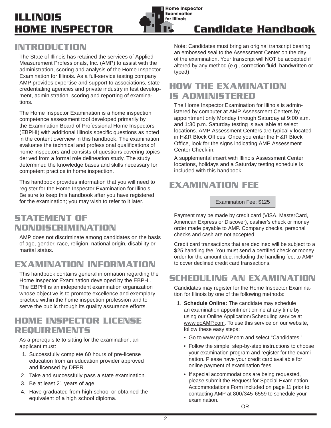

# HOME INSPECTOR Candidate Handbook

## INTRODUCTION

The State of Illinois has retained the services of Applied Measurement Professionals, Inc. (AMP) to assist with the administration, scoring and analysis of the Home Inspector Examination for Illinois. As a full-service testing company, AMP provides expertise and support to associations, state credentialing agencies and private industry in test development, administration, scoring and reporting of examinations.

The Home Inspector Examination is a home inspection competence assessment tool developed primarily by the Examination Board of Professional Home Inspectors (EBPHI) with additional Illinois specific questions as noted in the content overview in this handbook. The examination evaluates the technical and professional qualifications of home inspectors and consists of questions covering topics derived from a formal role delineation study. The study determined the knowledge bases and skills necessary for competent practice in home inspection.

This handbook provides information that you will need to register for the Home Inspector Examination for Illinois. Be sure to keep this handbook after you have registered for the examination; you may wish to refer to it later.

## STATEMENT OF NONDISCRIMINATION

AMP does not discriminate among candidates on the basis of age, gender, race, religion, national origin, disability or marital status.

# EXAMINATION INFORMATION

This handbook contains general information regarding the Home Inspector Examination developed by the EBPHI. The EBPHI is an independent examination organization whose objective is to promote excellence and exemplary practice within the home inspection profession and to serve the public through its quality assurance efforts.

## HOME INSPECTOR LICENSE REQUIREMENTS

As a prerequisite to sitting for the examination, an applicant must:

- 1. Successfully complete 60 hours of pre-license education from an education provider approved and licensed by DFPR.
- 2. Take and successfully pass a state examination.
- 3. Be at least 21 years of age.
- 4. Have graduated from high school or obtained the equivalent of a high school diploma.

Note: Candidates must bring an original transcript bearing an embossed seal to the Assessment Center on the day of the examination. Your transcript will NOT be accepted if altered by any method (e.g., correction fluid, handwritten or typed).

## HOW THE EXAMINATION IS ADMINISTERED

The Home Inspector Examination for Illinois is administered by computer at AMP Assessment Centers by appointment only Monday through Saturday at 9:00 a.m. and 1:30 p.m. Saturday testing is available at select locations. AMP Assessment Centers are typically located in H&R Block Offices. Once you enter the H&R Block Office, look for the signs indicating AMP Assessment Center Check-in.

A supplemental insert with Illinois Assessment Center locations, holidays and a Saturday testing schedule is included with this handbook.

# EXAMINATION FEE

Examination Fee: \$125

Payment may be made by credit card (VISA, MasterCard, American Express or Discover), cashier's check or money order made payable to AMP. Company checks, personal checks and cash are not accepted.

Credit card transactions that are declined will be subject to a \$25 handling fee. You must send a certified check or money order for the amount due, including the handling fee, to AMP to cover declined credit card transactions.

## SCHEDULING AN EXAMINATION

Candidates may register for the Home Inspector Examination for Illinois by one of the following methods:

- 1. **Schedule Online:** The candidate may schedule an examination appointment online at any time by using our Online Application/Scheduling service at www.goAMP.com. To use this service on our website, follow these easy steps:
	- Go to www.goAMP.com and select "Candidates."
	- Follow the simple, step-by-step instructions to choose your examination program and register for the examination. Please have your credit card available for online payment of examination fees.
	- If special accommodations are being requested, please submit the Request for Special Examination Accommodations Form included on page 11 prior to contacting AMP at 800/345-6559 to schedule your examination.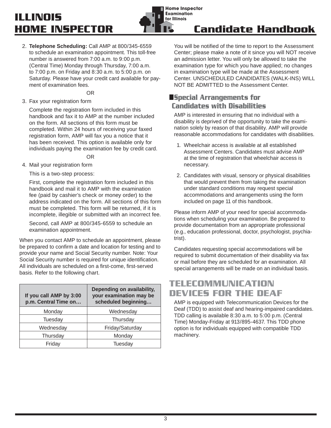

# HOME INSPECTOR Candidate Handbook

 2. **Telephone Scheduling:** Call AMP at 800/345-6559 to schedule an examination appointment. This toll-free number is answered from 7:00 a.m. to 9:00 p.m. (Central Time) Monday through Thursday, 7:00 a.m. to 7:00 p.m. on Friday and 8:30 a.m. to 5:00 p.m. on Saturday. Please have your credit card available for payment of examination fees.

#### OR

3. Fax your registration form

 Complete the registration form included in this handbook and fax it to AMP at the number included on the form. All sections of this form must be completed. Within 24 hours of receiving your faxed registration form, AMP will fax you a notice that it has been received. This option is available only for individuals paying the examination fee by credit card.

#### OR

4. Mail your registration form

This is a two-step process:

 First, complete the registration form included in this handbook and mail it to AMP with the examination fee (paid by cashier's check or money order) to the address indicated on the form. All sections of this form must be completed. This form will be returned, if it is incomplete, illegible or submitted with an incorrect fee.

 Second, call AMP at 800/345-6559 to schedule an examination appointment.

When you contact AMP to schedule an appointment, please be prepared to confirm a date and location for testing and to provide your name and Social Security number. Note: Your Social Security number is required for unique identification. All individuals are scheduled on a first-come, first-served basis. Refer to the following chart.

| If you call AMP by 3:00<br>p.m. Central Time on | Depending on availability,<br>your examination may be<br>scheduled beginning |
|-------------------------------------------------|------------------------------------------------------------------------------|
| Monday                                          | Wednesday                                                                    |
| Tuesday                                         | Thursday                                                                     |
| Wednesday                                       | Friday/Saturday                                                              |
| Thursday                                        | Monday                                                                       |
| Friday                                          | Tuesday                                                                      |

You will be notified of the time to report to the Assessment Center; please make a note of it since you will NOT receive an admission letter. You will only be allowed to take the examination type for which you have applied; no changes in examination type will be made at the Assessment Center. UNSCHEDULED CANDIDATES (WALK-INS) WILL NOT BE ADMITTED to the Assessment Center.

### ■Special Arrangements for Candidates with Disabilities

AMP is interested in ensuring that no individual with a disability is deprived of the opportunity to take the examination solely by reason of that disability. AMP will provide reasonable accommodations for candidates with disabilities.

- 1. Wheelchair access is available at all established Assessment Centers. Candidates must advise AMP at the time of registration that wheelchair access is necessary.
- 2. Candidates with visual, sensory or physical disabilities that would prevent them from taking the examination under standard conditions may request special accommodations and arrangements using the form included on page 11 of this handbook.

Please inform AMP of your need for special accommodations when scheduling your examination. Be prepared to provide documentation from an appropriate professional (e.g., education professional, doctor, psychologist, psychiatrist).

Candidates requesting special accommodations will be required to submit documentation of their disability via fax or mail before they are scheduled for an examination. All special arrangements will be made on an individual basis.

## TELECOMMUNICATION DEVICES FOR THE DEAF

AMP is equipped with Telecommunication Devices for the Deaf (TDD) to assist deaf and hearing-impaired candidates. TDD calling is available 8:30 a.m. to 5:00 p.m. (Central Time) Monday-Friday at 913/895-4637. This TDD phone option is for individuals equipped with compatible TDD machinery.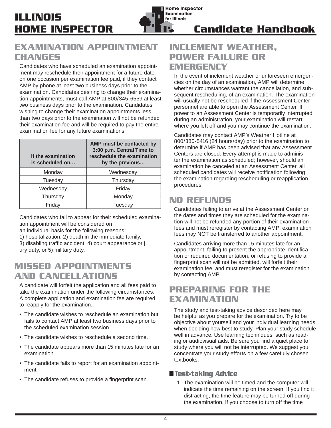

# HOME INSPECTOR Candidate Handbook

# EXAMINATION APPOINTMENT **CHANGES**

Candidates who have scheduled an examination appointment may reschedule their appointment for a future date on one occasion per examination fee paid, if they contact AMP by phone at least two business days prior to the examination. Candidates desiring to change their examination appointments, must call AMP at 800/345-6559 at least two business days prior to the examination. Candidates wishing to change their examination appointments less than two days prior to the examination will not be refunded their examination fee and will be required to pay the entire examination fee for any future examinations.

| If the examination<br>is scheduled on | AMP must be contacted by<br>3:00 p.m. Central Time to<br>reschedule the examination<br>by the previous |
|---------------------------------------|--------------------------------------------------------------------------------------------------------|
| Monday                                | Wednesday                                                                                              |
| Tuesday                               | Thursday                                                                                               |
| Wednesday                             | Friday                                                                                                 |
| Thursday                              | Monday                                                                                                 |
| Friday                                | Tuesday                                                                                                |

Candidates who fail to appear for their scheduled examination appointment will be considered on

an individual basis for the following reasons:

1) hospitalization, 2) death in the immediate family,

3) disabling traffic accident, 4) court appearance or j ury duty, or 5) military duty.

## MISSED APPOINTMENTS AND CANCELLATIONS

A candidate will forfeit the application and all fees paid to take the examination under the following circumstances. A complete application and examination fee are required to reapply for the examination.

- The candidate wishes to reschedule an examination but fails to contact AMP at least two business days prior to the scheduled examination session.
- The candidate wishes to reschedule a second time.
- The candidate appears more than 15 minutes late for an examination.
- The candidate fails to report for an examination appointment.
- The candidate refuses to provide a fingerprint scan.

## INCLEMENT WEATHER, POWER FAILURE OR **EMERGENCY**

In the event of inclement weather or unforeseen emergencies on the day of an examination, AMP will determine whether circumstances warrant the cancellation, and subsequent rescheduling, of an examination. The examination will usually not be rescheduled if the Assessment Center personnel are able to open the Assessment Center. If power to an Assessment Center is temporarily interrupted during an administration, your examination will restart where you left off and you may continue the examination.

Candidates may contact AMP's Weather Hotline at 800/380-5416 (24 hours/day) prior to the examination to determine if AMP has been advised that any Assessment Centers are closed. Every attempt is made to administer the examination as scheduled; however, should an examination be canceled at an Assessment Center, all scheduled candidates will receive notification following the examination regarding rescheduling or reapplication procedures.

# NO REFUNDS

Candidates failing to arrive at the Assessment Center on the dates and times they are scheduled for the examination will not be refunded any portion of their examination fees and must reregister by contacting AMP; examination fees may NOT be transferred to another appointment.

Candidates arriving more than 15 minutes late for an appointment, failing to present the appropriate identification or required documentation, or refusing to provide a fingerprint scan will not be admitted, will forfeit their examination fee, and must reregister for the examination by contacting AMP.

## PREPARING FOR THE EXAMINATION

The study and test-taking advice described here may be helpful as you prepare for the examination. Try to be objective about yourself and your individual learning needs when deciding how best to study. Plan your study schedule well in advance. Use learning techniques, such as reading or audiovisual aids. Be sure you find a quiet place to study where you will not be interrupted. We suggest you concentrate your study efforts on a few carefully chosen textbooks.

### ■ Test-taking Advice

 1. The examination will be timed and the computer will indicate the time remaining on the screen. If you find it distracting, the time feature may be turned off during the examination. If you choose to turn off the time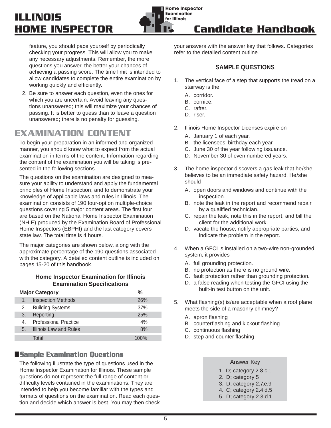

# HOME INSPECTOR T'II's Candidate Handbook

feature, you should pace yourself by periodically checking your progress. This will allow you to make any necessary adjustments. Remember, the more questions you answer, the better your chances of achieving a passing score. The time limit is intended to allow candidates to complete the entire examination by working quickly and efficiently.

 2. Be sure to answer each question, even the ones for which you are uncertain. Avoid leaving any questions unanswered; this will maximize your chances of passing. It is better to guess than to leave a question unanswered; there is no penalty for guessing.

# EXAMINATION CONTENT

To begin your preparation in an informed and organized manner, you should know what to expect from the actual examination in terms of the content. Information regarding the content of the examination you will be taking is presented in the following sections.

The questions on the examination are designed to measure your ability to understand and apply the fundamental principles of Home Inspection; and to demonstrate your knowledge of applicable laws and rules in Illinois. The examination consists of 190 four-option multiple-choice questions covering 5 major content areas. The first four are based on the National Home Inspector Examination (NHIE) produced by the Examination Board of Professional Home Inspectors (EBPHI) and the last category covers state law. The total time is 4 hours.

The major categories are shown below, along with the approximate percentage of the 190 questions associated with the category. A detailed content outline is included on pages 15-20 of this handbook.

### **Home Inspector Examination for Illinois Examination Specifications**

| <b>Major Category</b><br>$\frac{0}{0}$ |                              |            |  |
|----------------------------------------|------------------------------|------------|--|
| $\mathbf{1}$ .                         | <b>Inspection Methods</b>    | <b>26%</b> |  |
| 2.                                     | <b>Building Systems</b>      | 37%        |  |
| 3.                                     | Reporting                    | 25%        |  |
| 4.                                     | <b>Professional Practice</b> | 4%         |  |
| 5.                                     | Illinois Law and Rules       | 8%         |  |
|                                        | Total                        | 100%       |  |

## ■ Sample Examination Questions

The following illustrate the type of questions used in the Home Inspector Examination for Illinois. These sample questions do not represent the full range of content or difficulty levels contained in the examinations. They are intended to help you become familiar with the types and formats of questions on the examination. Read each question and decide which answer is best. You may then check your answers with the answer key that follows. Categories refer to the detailed content outline.

### **SAMPLE QUESTIONS**

- 1. The vertical face of a step that supports the tread on a stairway is the
	- A. corridor.
	- B. cornice.
	- C. rafter.
	- D. riser.
- 2. Illinois Home Inspector Licenses expire on
	- A. January 1 of each year.
	- B. the licensees' birthday each year.
	- C. June 30 of the year following issuance.
	- D. November 30 of even numbered years.
- 3. The home inspector discovers a gas leak that he/she believes to be an immediate safety hazard. He/she should
	- A. open doors and windows and continue with the inspection.
	- B. note the leak in the report and recommend repair by a qualified technician.
	- C. repair the leak, note this in the report, and bill the client for the additional work.
	- D. vacate the house, notify appropriate parties, and indicate the problem in the report.
- 4. When a GFCI is installed on a two-wire non-grounded system, it provides
	- A. full grounding protection.
	- B. no protection as there is no ground wire.
	- C. fault protection rather than grounding protection.
	- D. a false reading when testing the GFCI using the built-in test button on the unit.
- 5. What flashing(s) is/are acceptable when a roof plane meets the side of a masonry chimney?
	- A. apron flashing
	- B. counterflashing and kickout flashing
	- C. continuous flashing
	- D. step and counter flashing

### Answer Key

- 1. D; category 2.8.c.1
- 2. D; category 5
- 3. D; category 2.7.e.9
- 4. C; category 2.4.d.5
- 5. D; category 2.3.d.1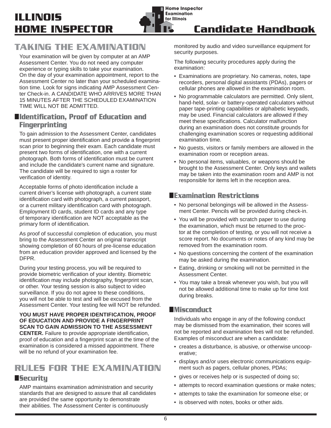

# HOME INSPECTOR T'IT's Candidate Handbook

# TAKING THE EXAMINATION

Your examination will be given by computer at an AMP Assessment Center. You do not need any computer experience or typing skills to take your examination. On the day of your examination appointment, report to the Assessment Center no later than your scheduled examination time. Look for signs indicating AMP Assessment Center Check-in. A CANDIDATE WHO ARRIVES MORE THAN 15 MINUTES AFTER THE SCHEDULED EXAMINATION TIME WILL NOT BE ADMITTED.

### ■Identification, Proof of Education and Fingerprinting

To gain admission to the Assessment Center, candidates must present proper identification and provide a fingerprint scan prior to beginning their exam. Each candidate must present two forms of identification, one with a current photograph. Both forms of identification must be current and include the candidate's current name and signature. The candidate will be required to sign a roster for verification of identity.

Acceptable forms of photo identification include a current driver's license with photograph, a current state identification card with photograph, a current passport, or a current military identification card with photograph. Employment ID cards, student ID cards and any type of temporary identification are NOT acceptable as the primary form of identification.

As proof of successful completion of education, you must bring to the Assessment Center an original transcript showing completion of 60 hours of pre-license education from an education provider approved and licensed by the DFPR.

During your testing process, you will be required to provide biometric verification of your identity. Biometric identification may include photography, fingerprint scan, or other. Your testing session is also subject to video surveillance. If you do not agree to these conditions, you will not be able to test and will be excused from the Assessment Center. Your testing fee will NOT be refunded.

#### **YOU MUST HAVE PROPER IDENTIFICATION, PROOF OF EDUCATION AND PROVIDE A FINGERPRINT SCAN TO GAIN ADMISSION TO THE ASSESSMENT CENTER.** Failure to provide appropriate identification, proof of education and a fingerprint scan at the time of the examination is considered a missed appointment. There will be no refund of your examination fee.

# RULES FOR THE EXAMINATION

### ■Securitu

AMP maintains examination administration and security standards that are designed to assure that all candidates are provided the same opportunity to demonstrate their abilities. The Assessment Center is continuously

monitored by audio and video surveillance equipment for security purposes.

The following security procedures apply during the examination:

- Examinations are proprietary. No cameras, notes, tape recorders, personal digital assistants (PDAs), pagers or cellular phones are allowed in the examination room.
- No programmable calculators are permitted. Only silent, hand-held, solar- or battery-operated calculators without paper tape-printing capabilities or alphabetic keypads, may be used. Financial calculators are allowed if they meet these specifications. Calculator malfunction during an examination does not constitute grounds for challenging examination scores or requesting additional examination time.
- No guests, visitors or family members are allowed in the examination room or reception areas.
- No personal items, valuables, or weapons should be brought to the Assessment Center. Only keys and wallets may be taken into the examination room and AMP is not responsible for items left in the reception area.

### ■Examination Restrictions

- No personal belongings will be allowed in the Assessment Center. Pencils will be provided during check-in.
- You will be provided with scratch paper to use during the examination, which must be returned to the proctor at the completion of testing, or you will not receive a score report. No documents or notes of any kind may be removed from the examination room.
- No questions concerning the content of the examination may be asked during the examination.
- Eating, drinking or smoking will not be permitted in the Assessment Center.
- You may take a break whenever you wish, but you will not be allowed additional time to make up for time lost during breaks.

### ■Misconduct

Individuals who engage in any of the following conduct may be dismissed from the examination, their scores will not be reported and examination fees will not be refunded. Examples of misconduct are when a candidate:

- creates a disturbance, is abusive, or otherwise uncooperative;
- displays and/or uses electronic communications equipment such as pagers, cellular phones, PDAs;
- gives or receives help or is suspected of doing so;
- attempts to record examination questions or make notes;
- attempts to take the examination for someone else; or
- is observed with notes, books or other aids.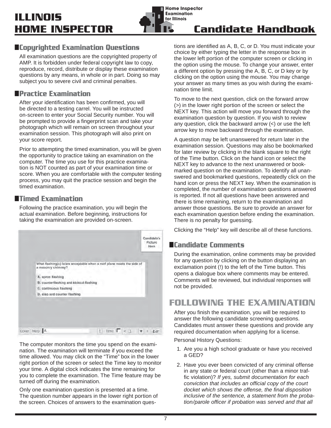

# HOME INSPECTOR Candidate Handbook

### ■Copyrighted Examination Questions

All examination questions are the copyrighted property of AMP. It is forbidden under federal copyright law to copy, reproduce, record, distribute or display these examination questions by any means, in whole or in part. Doing so may subject you to severe civil and criminal penalties.

## ■Practice Examination

After your identification has been confirmed, you will be directed to a testing carrel. You will be instructed on-screen to enter your Social Security number. You will be prompted to provide a fingerprint scan and take your photograph which will remain on screen throughout your examination session. This photograph will also print on your score report.

Prior to attempting the timed examination, you will be given the opportunity to practice taking an examination on the computer. The time you use for this practice examination is NOT counted as part of your examination time or score. When you are comfortable with the computer testing process, you may quit the practice session and begin the timed examination.

### ■Timed Examination

Following the practice examination, you will begin the actual examination. Before beginning, instructions for taking the examination are provided on-screen.



The computer monitors the time you spend on the examination. The examination will terminate if you exceed the time allowed. You may click on the "Time" box in the lower right portion of the screen or select the Time key to monitor your time. A digital clock indicates the time remaining for you to complete the examination. The Time feature may be turned off during the examination.

Only one examination question is presented at a time. The question number appears in the lower right portion of the screen. Choices of answers to the examination ques-

tions are identified as A, B, C, or D. You must indicate your choice by either typing the letter in the response box in the lower left portion of the computer screen or clicking in the option using the mouse. To change your answer, enter a different option by pressing the A, B, C, or D key or by clicking on the option using the mouse. You may change your answer as many times as you wish during the examination time limit.

To move to the next question, click on the forward arrow (>) in the lower right portion of the screen or select the NEXT key. This action will move you forward through the examination question by question. If you wish to review any question, click the backward arrow (<) or use the left arrow key to move backward through the examination.

A question may be left unanswered for return later in the examination session. Questions may also be bookmarked for later review by clicking in the blank square to the right of the Time button. Click on the hand icon or select the NEXT key to advance to the next unanswered or bookmarked question on the examination. To identify all unanswered and bookmarked questions, repeatedly click on the hand icon or press the NEXT key. When the examination is completed, the number of examination questions answered is reported. If not all questions have been answered and there is time remaining, return to the examination and answer those questions. Be sure to provide an answer for each examination question before ending the examination. There is no penalty for guessing.

Clicking the "Help" key will describe all of these functions.

## ■Candidate Comments

During the examination, online comments may be provided for any question by clicking on the button displaying an exclamation point (!) to the left of the Time button. This opens a dialogue box where comments may be entered. Comments will be reviewed, but individual responses will not be provided.

## FOLLOWING THE EXAMINATION

After you finish the examination, you will be required to answer the following candidate screening questions. Candidates must answer these questions and provide any required documentation when applying for a license.

Personal History Questions:

- 1. Are you a high school graduate or have you received a GED?
- 2. Have you ever been convicted of any criminal offense in any state or federal court (other than a minor traffic violation)? *If yes, submit documentation for each conviction that includes an official copy of the court docket which shows the offense, the final disposition inclusive of the sentence, a statement from the probation/parole officer if probation was served and that all*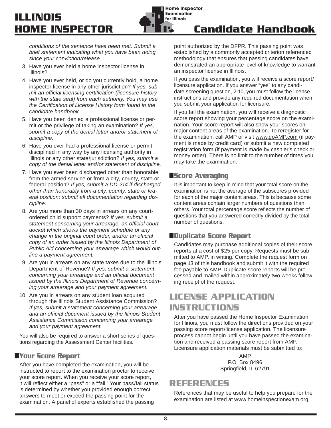

# HOME INSPECTOR Candidate Handbook

*conditions of the sentence have been met. Submit a brief statement indicating what you have been doing since your conviction/release.* 

- 3. Have you ever held a home inspector license in Illinois?
- 4. Have you ever held, or do you currently hold, a home inspector license in any other jurisdiction? *If yes, submit an official licensing certification (licensure history with the state seal) from each authority. You may use the Certification of License History form found in the candidate handbook.*
- 5. Have you been denied a professional license or permit or the privilege of taking an examination? *If yes, submit a copy of the denial letter and/or statement of discipline.*
- 6. Have you ever had a professional license or permit disciplined in any way by any licensing authority in Illinois or any other state/jurisdiction? *If yes, submit a copy of the denial letter and/or statement of discipline.*
- 7. Have you ever been discharged other than honorable from the armed service or from a city, county, state or federal position? *If yes, submit a DD-214 if discharged other than honorably from a city, county, state or federal position; submit all documentation regarding discipline.*
- 8. Are you more than 30 days in arrears on any courtordered child support payments? *If yes, submit a statement concerning your arrearage, an official court docket which shows the payment schedule or any change in the original court order, and/or an official copy of an order issued by the Illinois Department of Public Aid concerning your arrearage which would outline a payment agreement.*
- 9. Are you in arrears on any state taxes due to the Illinois Department of Revenue? *If yes, submit a statement concerning your arrearage and an official document issued by the Illinois Department of Revenue concerning your arrearage and your payment agreement.*
- 10. Are you in arrears on any student loan acquired through the Illinois Student Assistance Commission? *If yes, submit a statement concerning your arrearage and an official document issued by the Illinois Student Assistance Commission concerning your arrearage and your payment agreement.*

You will also be required to answer a short series of questions regarding the Assessment Center facilities.

## ■Your Score Report

After you have completed the examination, you will be instructed to report to the examination proctor to receive your score report. When you receive your score report, it will reflect either a "pass" or a "fail." Your pass/fail status is determined by whether you provided enough correct answers to meet or exceed the passing point for the examination. A panel of experts established the passing

point authorized by the DFPR. This passing point was established by a commonly accepted criterion referenced methodology that ensures that passing candidates have demonstrated an appropriate level of knowledge to warrant an inspector license in Illinois.

If you pass the examination, you will receive a score report/ licensure application. If you answer "yes" to any candidate screening question, 2-10, you must follow the license instructions and provide any required documentation when you submit your application for licensure.

If you fail the examination, you will receive a diagnostic score report showing your percentage score on the examination. Your score report will also show your scores on major content areas of the examination. To reregister for the examination, call AMP or visit www.goAMP.com (if payment is made by credit card) or submit a new completed registration form (if payment is made by cashier's check or money order). There is no limit to the number of times you may take the examination.

## ■Score Averaging

It is important to keep in mind that your total score on the examination is not the average of the subscores provided for each of the major content areas. This is because some content areas contain larger numbers of questions than others. Your total percentage score reflects the number of questions that you answered correctly divided by the total number of questions.

## ■Duplicate Score Report

Candidates may purchase additional copies of their score reports at a cost of \$25 per copy. Requests must be submitted to AMP, in writing. Complete the request form on page 13 of this handbook and submit it with the required fee payable to AMP. Duplicate score reports will be processed and mailed within approximately two weeks following receipt of the request.

# LICENSE APPLICATION INSTRUCTIONS

After you have passed the Home Inspector Examination for Illinois, you must follow the directions provided on your passing score report/license application. The licensure process cannot begin until you have passed the examination and received a passing score report from AMP. Licensure application materials must be submitted to:

> AMP P.O. Box 8496 Springfield, IL 62791

## REFERENCES

References that may be useful to help you prepare for the examination are listed at www.homeinspectionexam.org.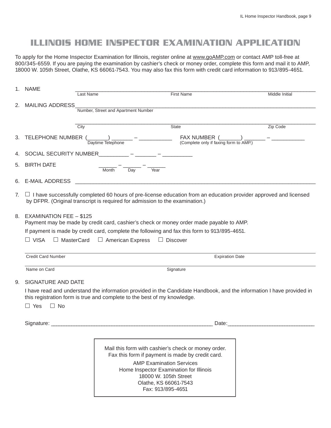## ILLINOIS HOME INSPECTOR EXAMINATION APPLICATION

To apply for the Home Inspector Examination for Illinois, register online at www.goAMP.com or contact AMP toll-free at 800/345-6559. If you are paying the examination by cashier's check or money order, complete this form and mail it to AMP, 18000 W. 105th Street, Olathe, KS 66061-7543. You may also fax this form with credit card information to 913/895-4651.

| 1. | NAME                                                                                                                                                                                                                                                                                                        |                                        |                                                                                                                                                                                                                                                                                                                                       |                |
|----|-------------------------------------------------------------------------------------------------------------------------------------------------------------------------------------------------------------------------------------------------------------------------------------------------------------|----------------------------------------|---------------------------------------------------------------------------------------------------------------------------------------------------------------------------------------------------------------------------------------------------------------------------------------------------------------------------------------|----------------|
|    |                                                                                                                                                                                                                                                                                                             | Last Name                              | <b>First Name</b>                                                                                                                                                                                                                                                                                                                     | Middle Initial |
| 2. | <b>MAILING ADDRESS</b>                                                                                                                                                                                                                                                                                      | Number, Street and Apartment Number    |                                                                                                                                                                                                                                                                                                                                       |                |
|    |                                                                                                                                                                                                                                                                                                             | City                                   | State                                                                                                                                                                                                                                                                                                                                 | Zip Code       |
| З. | TELEPHONE NUMBER (                                                                                                                                                                                                                                                                                          | $\frac{1}{\sqrt{2}}$ Daytime Telephone | FAX NUMBER $(\underline{\hspace{1cm}})$ $\qquad$ $ \qquad$ $ \qquad$ $\qquad$ $\qquad$ $\qquad$ $\qquad$ $\qquad$ $\qquad$ $\qquad$ $\qquad$ $\qquad$ $\qquad$ $\qquad$ $\qquad$ $\qquad$ $\qquad$ $\qquad$ $\qquad$ $\qquad$ $\qquad$ $\qquad$ $\qquad$ $\qquad$ $\qquad$ $\qquad$ $\qquad$ $\qquad$ $\qquad$ $\qquad$ $\qquad$ $\q$ |                |
| 4. | SOCIAL SECURITY NUMBER                                                                                                                                                                                                                                                                                      |                                        | <u> 1990 - Jan Jan Jawa Barat, president populari (</u>                                                                                                                                                                                                                                                                               |                |
| 5. | <b>BIRTH DATE</b>                                                                                                                                                                                                                                                                                           | Day<br>Month                           | Year                                                                                                                                                                                                                                                                                                                                  |                |
| 6. | <b>E-MAIL ADDRESS</b>                                                                                                                                                                                                                                                                                       |                                        | <u> 1980 - Jan Barbara, martxar a shekara 1980 - Andrea Alexandro a San A</u>                                                                                                                                                                                                                                                         |                |
| 7. | $\Box$ I have successfully completed 60 hours of pre-license education from an education provider approved and licensed<br>by DFPR. (Original transcript is required for admission to the examination.)                                                                                                     |                                        |                                                                                                                                                                                                                                                                                                                                       |                |
| 8. | EXAMINATION FEE $-$ \$125<br>Payment may be made by credit card, cashier's check or money order made payable to AMP.<br>If payment is made by credit card, complete the following and fax this form to 913/895-4651.<br>$\Box$ VISA<br>$\Box$ MasterCard<br>$\Box$ American Express<br><b>Discover</b><br>⊔ |                                        |                                                                                                                                                                                                                                                                                                                                       |                |
|    | <b>Credit Card Number</b>                                                                                                                                                                                                                                                                                   |                                        | <b>Expiration Date</b>                                                                                                                                                                                                                                                                                                                |                |
|    | Name on Card                                                                                                                                                                                                                                                                                                |                                        | Signature                                                                                                                                                                                                                                                                                                                             |                |
| 9. | SIGNATURE AND DATE                                                                                                                                                                                                                                                                                          |                                        |                                                                                                                                                                                                                                                                                                                                       |                |
|    | I have read and understand the information provided in the Candidate Handbook, and the information I have provided in<br>this registration form is true and complete to the best of my knowledge.<br>$\Box$ No<br>$\Box$ Yes                                                                                |                                        |                                                                                                                                                                                                                                                                                                                                       |                |
|    | Signature:                                                                                                                                                                                                                                                                                                  |                                        | Date:                                                                                                                                                                                                                                                                                                                                 |                |
|    |                                                                                                                                                                                                                                                                                                             |                                        |                                                                                                                                                                                                                                                                                                                                       |                |
|    |                                                                                                                                                                                                                                                                                                             |                                        | Mail this form with cashier's check or money order.<br>Fax this form if payment is made by credit card.<br><b>AMP Examination Services</b><br>Home Inspector Examination for Illinois<br>18000 W. 105th Street<br>Olathe, KS 66061-7543<br>Fax: 913/895-4651                                                                          |                |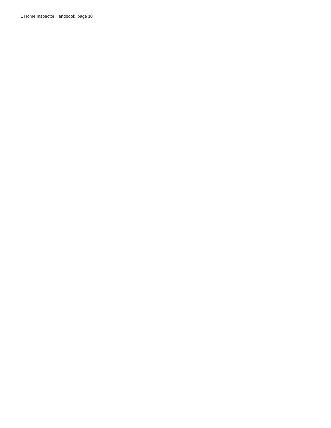IL Home Inspector Handbook, page 10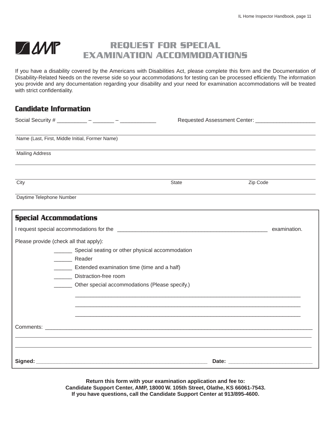#### **SAMP** REQUEST FOR SPECIAL EXAMINATION ACCOMMODATIONS

If you have a disability covered by the Americans with Disabilities Act, please complete this form and the Documentation of Disability-Related Needs on the reverse side so your accommodations for testing can be processed efficiently. The information you provide and any documentation regarding your disability and your need for examination accommodations will be treated with strict confidentiality.

# Candidate Information

| Name (Last, First, Middle Initial, Former Name)                                                                                 |                                                                                                   |              |  |
|---------------------------------------------------------------------------------------------------------------------------------|---------------------------------------------------------------------------------------------------|--------------|--|
| <b>Mailing Address</b>                                                                                                          |                                                                                                   |              |  |
| City                                                                                                                            | <b>State</b>                                                                                      | Zip Code     |  |
| Daytime Telephone Number                                                                                                        |                                                                                                   |              |  |
| <b>Special Accommodations</b>                                                                                                   |                                                                                                   |              |  |
|                                                                                                                                 |                                                                                                   | examination. |  |
| Please provide (check all that apply):<br>Reader<br><b>Extended examination time (time and a half)</b><br>Distraction-free room | Special seating or other physical accommodation<br>Other special accommodations (Please specify.) |              |  |
|                                                                                                                                 |                                                                                                   |              |  |
|                                                                                                                                 |                                                                                                   |              |  |
|                                                                                                                                 |                                                                                                   |              |  |

**Return this form with your examination application and fee to: Candidate Support Center, AMP, 18000 W. 105th Street, Olathe, KS 66061-7543. If you have questions, call the Candidate Support Center at 913/895-4600.**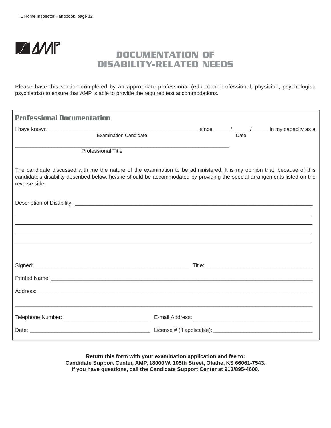

## DOCUMENTATION OF DISABILITY-RELATED NEEDS

Please have this section completed by an appropriate professional (education professional, physician, psychologist, psychiatrist) to ensure that AMP is able to provide the required test accommodations.

| <b>Professional Documentation</b>                                                                                                                                                                                                                                      |                                                                                                                                                                                                                                |  |  |
|------------------------------------------------------------------------------------------------------------------------------------------------------------------------------------------------------------------------------------------------------------------------|--------------------------------------------------------------------------------------------------------------------------------------------------------------------------------------------------------------------------------|--|--|
|                                                                                                                                                                                                                                                                        |                                                                                                                                                                                                                                |  |  |
|                                                                                                                                                                                                                                                                        |                                                                                                                                                                                                                                |  |  |
| Professional Title                                                                                                                                                                                                                                                     |                                                                                                                                                                                                                                |  |  |
| The candidate discussed with me the nature of the examination to be administered. It is my opinion that, because of this<br>candidate's disability described below, he/she should be accommodated by providing the special arrangements listed on the<br>reverse side. |                                                                                                                                                                                                                                |  |  |
|                                                                                                                                                                                                                                                                        |                                                                                                                                                                                                                                |  |  |
|                                                                                                                                                                                                                                                                        |                                                                                                                                                                                                                                |  |  |
|                                                                                                                                                                                                                                                                        | ,我们也不能会有一个人的事情。""我们的人,我们也不能会有一个人的人,我们也不能会有一个人的人,我们也不能会有一个人的人,我们也不能会有一个人的人,我们也不能会                                                                                                                                               |  |  |
|                                                                                                                                                                                                                                                                        |                                                                                                                                                                                                                                |  |  |
|                                                                                                                                                                                                                                                                        |                                                                                                                                                                                                                                |  |  |
|                                                                                                                                                                                                                                                                        |                                                                                                                                                                                                                                |  |  |
|                                                                                                                                                                                                                                                                        |                                                                                                                                                                                                                                |  |  |
|                                                                                                                                                                                                                                                                        | Address: Andreas Address: Address: Address: Address: Address: Address: Address: Address: Address: Address: Address: Address: Address: Address: Address: Address: Address: Address: Address: Address: Address: Address: Address |  |  |
|                                                                                                                                                                                                                                                                        |                                                                                                                                                                                                                                |  |  |
|                                                                                                                                                                                                                                                                        |                                                                                                                                                                                                                                |  |  |
|                                                                                                                                                                                                                                                                        |                                                                                                                                                                                                                                |  |  |

**Return this form with your examination application and fee to: Candidate Support Center, AMP, 18000 W. 105th Street, Olathe, KS 66061-7543. If you have questions, call the Candidate Support Center at 913/895-4600.**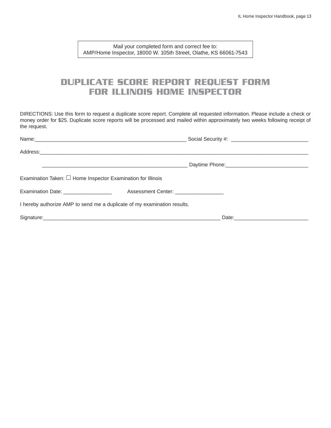Mail your completed form and correct fee to: AMP/Home Inspector, 18000 W. 105th Street, Olathe, KS 66061-7543

## DUPLICATE SCORE REPORT REQUEST FORM FOR ILLINOIS HOME INSPECTOR

DIRECTIONS: Use this form to request a duplicate score report. Complete all requested information. Please include a check or money order for \$25. Duplicate score reports will be processed and mailed within approximately two weeks following receipt of the request.

| Examination Taken: $\Box$ Home Inspector Examination for Illinois                |  |
|----------------------------------------------------------------------------------|--|
| Examination Date: ___________________<br>Assessment Center: ____________________ |  |
| I hereby authorize AMP to send me a duplicate of my examination results.         |  |
|                                                                                  |  |
|                                                                                  |  |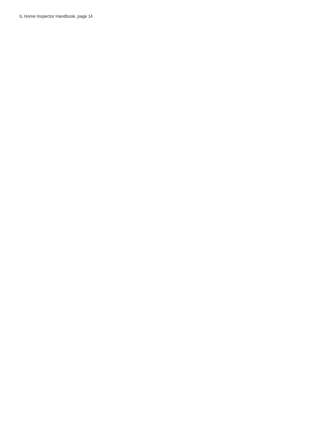IL Home Inspector Handbook, page 14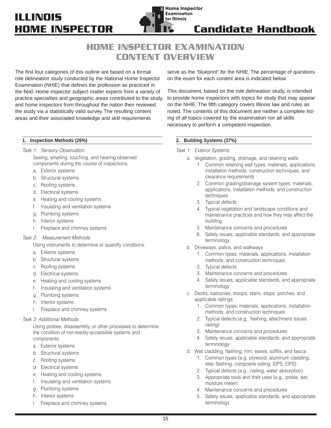

# HOME INSPECTOR T'II's Candidate Handbook

## HOME INSPECTOR EXAMINATION CONTENT OVERVIEW

The first four categories of this outline are based on a formal role delineation study conducted by the National Home Inspector Examination (NHIE) that defines the profession as practiced in the field. Home inspector subject matter experts from a variety of practice specialties and geographic areas contributed to the study, and home inspectors from throughout the nation then reviewed the study via a statistically valid survey. The resulting content areas and their associated knowledge and skill requirements

#### **1. Inspection Methods (26%)**

*Task 1: Sensory Observation* 

- Seeing, smelling, touching, and hearing observed components during the course of inspections.
- a. Exterior systems
- b. Structural systems
- c. Roofing systems
- d. Electrical systems
- e. Heating and cooling systems
- f. Insulating and ventilation systems
- g. Plumbing systems
- h. Interior systems
- i. Fireplace and chimney systems
- *Task 2: Measurement Methods*

Using instruments to determine or quantify conditions.

- a. Exterior systems
- b. Structural systems
- c. Roofing systems
- d. Electrical systems
- e. Heating and cooling systems
- f. Insulating and ventilation systems
- g. Plumbing systems
- h. Interior systems
- i. Fireplace and chimney systems

#### *Task 3: Additional Methods*

Using probes, disassembly, or other processes to determine the condition of not-readily-accessible systems and components.

- a. Exterior systems
- b. Structural systems
- c. Roofing systems
- d. Electrical systems
- e. Heating and cooling systems
- f. Insulating and ventilation systems
- g. Plumbing systems
- h. Interior systems
- i. Fireplace and chimney systems

#### serve as the "blueprint" for the NHIE. The percentage of questions on the exam for each content area is indicated below.

This document, based on the role delineation study, is intended to provide home inspectors with topics for study that may appear on the NHIE. The fifth category covers Illinois law and rules as noted. The contents of this document are neither a complete listing of all topics covered by the examination nor all skills necessary to perform a competent inspection.

### **2. Building Systems (37%)**

#### *Task 1: Exterior Systems*

- a. Vegetation, grading, drainage, and retaining walls
	- 1. Common retaining wall types, materials, applications, installation methods, construction techniques, and clearance requirements
	- 2. Common grading/drainage system types, materials, applications, installation methods, and construction techniques
	- 3. Typical defects
	- 4. Typical vegetation and landscape conditions and maintenance practices and how they may affect the building
	- 5. Maintenance concerns and procedures
	- 6. Safety issues, applicable standards, and appropriate terminology
- b. Driveways, patios, and walkways
	- 1. Common types, materials, applications, installation methods, and construction techniques
	- 2. Typical defects
	- 3. Maintenance concerns and procedures
	- 4. Safety issues, applicable standards, and appropriate terminology
- c. Decks, balconies, stoops, stairs, steps, porches, and applicable railings
	- 1. Common types, materials, applications, installation methods, and construction techniques
	- 2. Typical defects (e.g., flashing, attachment issues, railing)
	- 3. Maintenance concerns and procedures
	- 4. Safety issues, applicable standards, and appropriate terminology
- d. Wall cladding, flashing, trim, eaves, soffits, and fascia
	- 1. Common types (e.g. plywood, aluminum cladding, step flashing, composite siding, SIPS, EIFS)
	- 2. Typical defects (e.g., nailing, water absorption)
	- 3. Appropriate tools and their uses (e.g., probe, awl, moisture meter)
	- 4. Maintenance concerns and procedures
	- 5. Safety issues, applicable standards, and appropriate terminology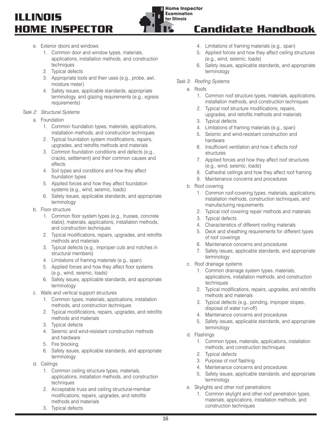

# HOME INSPECTOR T'II's Candidate Handbook

- e. Exterior doors and windows
	- 1. Common door and window types, materials, applications, installation methods, and construction techniques
	- 2. Typical defects
	- 3. Appropriate tools and their uses (e.g., probe, awl, moisture meter)
	- 4. Safety issues, applicable standards, appropriate terminology, and glazing requirements (e.g., egress requirements)

### *Task 2: Structural Systems*

- a. Foundation
	- 1. Common foundation types, materials, applications, installation methods, and construction techniques
	- 2. Typical foundation system modifications, repairs, upgrades, and retrofits methods and materials
	- 3. Common foundation conditions and defects (e.g., cracks, settlement) and their common causes and effects
	- 4. Soil types and conditions and how they affect foundation types
	- 5. Applied forces and how they affect foundation systems (e.g., wind, seismic, loads)
	- 6. Safety issues, applicable standards, and appropriate terminology
- b. Floor structure
	- 1. Common floor system types (e.g., trusses, concrete slabs), materials, applications, installation methods, and construction techniques
	- 2. Typical modifications, repairs, upgrades, and retrofits methods and materials
	- 3. Typical defects (e.g., improper cuts and notches in structural members)
	- 4. Limitations of framing materials (e.g., span)
	- 5. Applied forces and how they affect floor systems (e.g., wind, seismic, loads)
	- 6. Safety issues, applicable standards, and appropriate terminology
- c. Walls and vertical support structures
	- 1. Common types, materials, applications, installation methods, and construction techniques
	- 2. Typical modifications, repairs, upgrades, and retrofits methods and materials
	- 3. Typical defects
	- 4. Seismic and wind-resistant construction methods and hardware
	- 5. Fire blocking
	- 6. Safety issues, applicable standards, and appropriate terminology
- d. Ceilings
	- 1. Common ceiling structure types, materials, applications, installation methods, and construction techniques
	- 2. Acceptable truss and ceiling structural-member modifications, repairs, upgrades, and retrofits methods and materials
	- 3. Typical defects
- 4. Limitations of framing materials (e.g., span)
- 5. Applied forces and how they affect ceiling structures (e.g., wind, seismic, loads)
- 6. Safety issues, applicable standards, and appropriate terminology
- *Task 3: Roofing Systems*
	- a. Roofs
		- 1. Common roof structure types, materials, applications, installation methods, and construction techniques
		- 2. Typical roof structure modifications, repairs, upgrades, and retrofits methods and materials
		- 3. Typical defects
		- 4. Limitations of framing materials (e.g., span)
		- 5. Seismic and wind-resistant construction and hardware
		- 6. Insufficient ventilation and how it affects roof structures
		- 7. Applied forces and how they affect roof structures (e.g., wind, seismic, loads)
		- 8. Cathedral ceilings and how they affect roof framing
		- 9. Maintenance concerns and procedures
	- b. Roof covering
		- 1. Common roof-covering types, materials, applications, installation methods, construction techniques, and manufacturing requirements
		- 2. Typical roof covering repair methods and materials
		- 3. Typical defects
		- 4. Characteristics of different roofing materials
		- 5. Deck and sheathing requirements for different types of roof coverings
		- 6. Maintenance concerns and procedures
		- 7. Safety issues, applicable standards, and appropriate terminology
	- c. Roof drainage systems
		- 1. Common drainage system types, materials, applications, installation methods, and construction techniques
		- 2. Typical modifications, repairs, upgrades, and retrofits methods and materials
		- 3. Typical defects (e.g., ponding, improper slopes, disposal of water run-off)
		- 4. Maintenance concerns and procedures
		- 5. Safety issues, applicable standards, and appropriate terminology
	- d. Flashings
		- 1. Common types, materials, applications, installation methods, and construction techniques
		- 2. Typical defects
		- 3. Purpose of roof flashing
		- 4. Maintenance concerns and procedures
		- 5. Safety issues, applicable standards, and appropriate terminology
	- e. Skylights and other roof penetrations
		- 1. Common skylight and other roof penetration types, materials, applications, installation methods, and construction techniques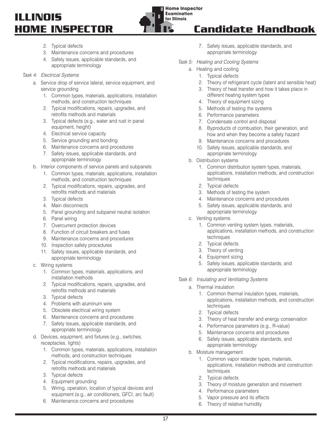

# HOME INSPECTOR Candidate Handbook

- 2. Typical defects
- 3. Maintenance concerns and procedures
- 4. Safety issues, applicable standards, and appropriate terminology
- *Task 4: Electrical Systems*
	- a. Service drop of service lateral, service equipment, and service grounding
		- 1. Common types, materials, applications, installation methods, and construction techniques
		- 2. Typical modifications, repairs, upgrades, and retrofits methods and materials
		- 3. Typical defects (e.g., water and rust in panel equipment, height)
		- 4. Electrical service capacity
		- 5. Service grounding and bonding
		- 6. Maintenance concerns and procedures
		- 7. Safety issues, applicable standards, and appropriate terminology
	- b. Interior components of service panels and subpanels
		- 1. Common types, materials, applications, installation methods, and construction techniques
		- 2. Typical modifications, repairs, upgrades, and retrofits methods and materials
		- 3. Typical defects
		- 4. Main disconnects
		- 5. Panel grounding and subpanel neutral isolation
		- 6. Panel wiring
		- 7. Overcurrent protection devices
		- 8. Function of circuit breakers and fuses
		- 9. Maintenance concerns and procedures
		- 10. Inspection safety procedures
		- 11. Safety issues, applicable standards, and appropriate terminology
	- c. Wiring systems
		- 1. Common types, materials, applications, and installation methods
		- 2. Typical modifications, repairs, upgrades, and retrofits methods and materials
		- 3. Typical defects
		- 4. Problems with aluminum wire
		- 5. Obsolete electrical wiring system
		- 6. Maintenance concerns and procedures
		- 7. Safety issues, applicable standards, and appropriate terminology
	- d. Devices, equipment, and fixtures (e.g., switches, receptacles, lights)
		- 1. Common types, materials, applications, installation methods, and construction techniques
		- 2. Typical modifications, repairs, upgrades, and retrofits methods and materials
		- 3. Typical defects
		- 4. Equipment grounding
		- 5. Wiring, operation, location of typical devices and equipment (e.g., air conditioners, GFCI, arc fault)
		- 6. Maintenance concerns and procedures
- 7. Safety issues, applicable standards, and appropriate terminology
- *Task 5: Heating and Cooling Systems*
	- a. Heating and cooling
		- 1. Typical defects
		- 2. Theory of refrigerant cycle (latent and sensible heat)
		- 3. Theory of heat transfer and how it takes place in different heating system types
		- 4. Theory of equipment sizing
		- 5. Methods of testing the systems
		- 6. Performance parameters
		- 7. Condensate control and disposal
		- 8. Byproducts of combustion, their generation, and how and when they become a safety hazard
		- 9. Maintenance concerns and procedures
		- 10. Safety issues, applicable standards, and appropriate terminology
	- b. Distribution systems
		- 1. Common distribution system types, materials, applications, installation methods, and construction techniques
		- 2. Typical defects
		- 3. Methods of testing the system
		- 4. Maintenance concerns and procedures
		- 5. Safety issues, applicable standards, and appropriate terminology
	- c. Venting systems
		- 1. Common venting system types, materials, applications, installation methods, and construction techniques
		- 2. Typical defects
		- 3. Theory of venting
		- 4. Equipment sizing
		- 5. Safety issues, applicable standards, and appropriate terminology
- *Task 6: Insulating and Ventilating Systems*
	- a. Thermal insulation
		- 1. Common thermal insulation types, materials, applications, installation methods, and construction techniques
		- 2. Typical defects
		- 3. Theory of heat transfer and energy conservation
		- 4. Performance parameters (e.g., R-value)
		- 5. Maintenance concerns and procedures
		- 6. Safety issues, applicable standards, and appropriate terminology
	- b. Moisture management
		- 1. Common vapor retarder types, materials, applications, installation methods and construction techniques
		- 2. Typical defects
		- 3. Theory of moisture generation and movement
		- 4. Performance parameters
		- 5. Vapor pressure and its effects
		- 6. Theory of relative humidity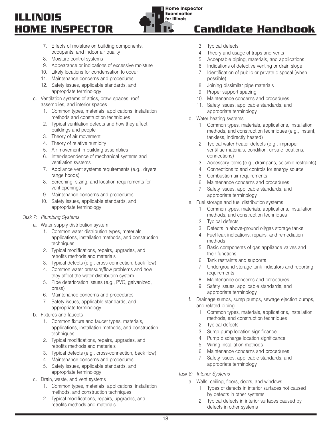

#### 7. Effects of moisture on building components, occupants, and indoor air quality

- 8. Moisture control systems
- 9. Appearance or indications of excessive moisture
- 10. Likely locations for condensation to occur
- 11. Maintenance concerns and procedures
- 12. Safety issues, applicable standards, and appropriate terminology
- c. Ventilation systems of attics, crawl spaces, roof assemblies, and interior spaces
	- 1. Common types, materials, applications, installation methods and construction techniques
	- 2. Typical ventilation defects and how they affect buildings and people
	- 3. Theory of air movement
	- 4. Theory of relative humidity
	- 5. Air movement in building assemblies
	- 6. Inter-dependence of mechanical systems and ventilation systems
	- 7. Appliance vent systems requirements (e.g., dryers, range hoods)
	- 8. Screening, sizing, and location requirements for vent openings
	- 9. Maintenance concerns and procedures
	- 10. Safety issues, applicable standards, and appropriate terminology

### *Task 7: Plumbing Systems*

- a. Water supply distribution system
	- 1. Common water distribution types, materials, applications, installation methods, and construction techniques
	- 2. Typical modifications, repairs, upgrades, and retrofits methods and materials
	- 3. Typical defects (e.g., cross-connection, back flow)
	- 4. Common water pressure/flow problems and how they affect the water distribution system
	- 5. Pipe deterioration issues (e.g., PVC, galvanized, brass)
	- 6. Maintenance concerns and procedures
	- 7. Safety issues, applicable standards, and appropriate terminology
- b. Fixtures and faucets
	- 1. Common fixture and faucet types, materials, applications, installation methods, and construction techniques
	- 2. Typical modifications, repairs, upgrades, and retrofits methods and materials
	- 3. Typical defects (e.g., cross-connection, back flow)
	- 4. Maintenance concerns and procedures
	- 5. Safety issues, applicable standards, and appropriate terminology
- c. Drain, waste, and vent systems
	- 1. Common types, materials, applications, installation methods, and construction techniques
	- 2. Typical modifications, repairs, upgrades, and retrofits methods and materials

# HOME INSPECTOR Candidate Handbook

- 3. Typical defects
- 4. Theory and usage of traps and vents
- 5. Acceptable piping, materials, and applications
- 6. Indications of defective venting or drain slope
- 7. Identification of public or private disposal (when possible)
- 8. Joining dissimilar pipe materials
- 9. Proper support spacing
- 10. Maintenance concerns and procedures
- 11. Safety issues, applicable standards, and appropriate terminology
- d. Water heating systems
	- 1. Common types, materials, applications, installation methods, and construction techniques (e.g., instant, tankless, indirectly heated)
	- 2. Typical water heater defects (e.g., improper vent/flue materials, condition, unsafe locations, connections)
	- 3. Accessory items (e.g., drainpans, seismic restraints)
	- 4. Connections to and controls for energy source
	- 5. Combustion air requirements
	- 6. Maintenance concerns and procedures
	- 7. Safety issues, applicable standards, and appropriate terminology
- e. Fuel storage and fuel distribution systems
	- 1. Common types, materials, applications, installation methods, and construction techniques
	- 2. Typical defects
	- 3. Defects in above-ground oil/gas storage tanks
	- 4. Fuel leak indications, repairs, and remediation methods
	- 5. Basic components of gas appliance valves and their functions
	- 6. Tank restraints and supports
	- 7. Underground storage tank indicators and reporting requirements
	- 8. Maintenance concerns and procedures
	- 9. Safety issues, applicable standards, and appropriate terminology
- f. Drainage sumps, sump pumps, sewage ejection pumps, and related piping
	- 1. Common types, materials, applications, installation methods, and construction techniques
	- 2. Typical defects
	- 3. Sump pump location significance
	- 4. Pump discharge location significance
	- 5. Wiring installation methods
	- 6. Maintenance concerns and procedures
	- 7. Safety issues, applicable standards, and appropriate terminology
- *Task 8: Interior Systems*
	- a. Walls, ceiling, floors, doors, and windows
		- 1. Types of defects in interior surfaces not caused by defects in other systems
		- 2. Typical defects in interior surfaces caused by defects in other systems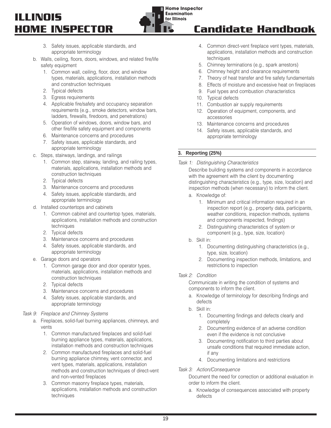

#### 3. Safety issues, applicable standards, and appropriate terminology

- b. Walls, ceiling, floors, doors, windows, and related fire/life safety equipment
	- 1. Common wall, ceiling, floor, door, and window types, materials, applications, installation methods and construction techniques
	- 2. Typical defects
	- 3. Egress requirements
	- 4. Applicable fire/safety and occupancy separation requirements (e.g., smoke detectors, window bars, ladders, firewalls, firedoors, and penetrations)
	- 5. Operation of windows, doors, window bars, and other fire/life safety equipment and components
	- 6. Maintenance concerns and procedures
	- 7. Safety issues, applicable standards, and appropriate terminology
- c. Steps, stairways, landings, and railings
	- 1. Common step, stairway, landing, and railing types, materials, applications, installation methods and construction techniques
	- 2. Typical defects
	- 3. Maintenance concerns and procedures
	- 4. Safety issues, applicable standards, and appropriate terminology
- d. Installed countertops and cabinets
	- 1. Common cabinet and countertop types, materials, applications, installation methods and construction techniques
	- 2. Typical defects
	- 3. Maintenance concerns and procedures
	- 4. Safety issues, applicable standards, and appropriate terminology
- e. Garage doors and operators
	- 1. Common garage door and door operator types, materials, applications, installation methods and construction techniques
	- 2. Typical defects
	- 3. Maintenance concerns and procedures
	- 4. Safety issues, applicable standards, and appropriate terminology
- *Task 9: Fireplace and Chimney Systems*
	- a. Fireplaces, solid-fuel burning appliances, chimneys, and vents
		- 1. Common manufactured fireplaces and solid-fuel burning appliance types, materials, applications, installation methods and construction techniques
		- 2. Common manufactured fireplaces and solid-fuel burning appliance chimney, vent connector, and vent types, materials, applications, installation methods and construction techniques of direct-vent and non-vented fireplaces
		- 3. Common masonry fireplace types, materials, applications, installation methods and construction techniques

# HOME INSPECTOR T'II's Candidate Handbook

- 4. Common direct-vent fireplace vent types, materials, applications, installation methods and construction techniques
- 5. Chimney terminations (e.g., spark arrestors)
- 6. Chimney height and clearance requirements
- 7. Theory of heat transfer and fire safety fundamentals
- 8. Effects of moisture and excessive heat on fireplaces
- 9. Fuel types and combustion characteristics
- 10. Typical defects
- 11. Combustion air supply requirements
- 12. Operation of equipment, components, and accessories
- 13. Maintenance concerns and procedures
- 14. Safety issues, applicable standards, and appropriate terminology

### **3. Reporting (25%)**

#### *Task 1: Distinguishing Characteristics*

Describe building systems and components in accordance with the agreement with the client by documenting distinguishing characteristics (e.g., type, size, location) and inspection methods (when necessary) to inform the client.

- a. Knowledge of:
	- 1. Minimum and critical information required in an inspection report (e.g., property data, participants, weather conditions, inspection methods, systems and components inspected, findings)
	- 2. Distinguishing characteristics of system or component (e.g., type, size, location)
- b. Skill in:
	- 1. Documenting distinguishing characteristics (e.g., type, size, location)
	- 2. Documenting inspection methods, limitations, and restrictions to inspection

### *Task 2: Condition*

Communicate in writing the condition of systems and components to inform the client.

- a. Knowledge of terminology for describing findings and defects
- b. Skill in:
	- 1. Documenting findings and defects clearly and completely
	- 2. Documenting evidence of an adverse condition even if the evidence is not conclusive
	- 3. Documenting notification to third parties about unsafe conditions that required immediate action, if any
	- 4. Documenting limitations and restrictions
- *Task 3: Action/Consequence*

Document the need for correction or additional evaluation in order to inform the client.

a. Knowledge of consequences associated with property defects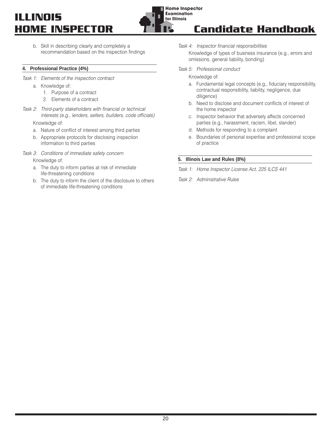

# HOME INSPECTOR T'II's Candidate Handbook

b. Skill in describing clearly and completely a recommendation based on the inspection findings

#### **4. Professional Practice (4%)**

- *Task 1: Elements of the inspection contract*
	- a. Knowledge of:
		- 1. Purpose of a contract
		- 2. Elements of a contract
- *Task 2: Third-party stakeholders with financial or technical interests (e.g., lenders, sellers, builders, code officials)*

#### Knowledge of:

- a. Nature of conflict of interest among third parties
- b. Appropriate protocols for disclosing inspection information to third parties

*Task 3: Conditions of immediate safety concern*

Knowledge of:

- a. The duty to inform parties at risk of immediate life-threatening conditions
- b. The duty to inform the client of the disclosure to others of immediate life-threatening conditions

*Task 4: Inspector financial responsibilities*

Knowledge of types of business insurance (e.g., errors and omissions, general liability, bonding)

#### *Task 5: Professional conduct*

Knowledge of:

- a. Fundamental legal concepts (e.g., fiduciary responsibility, contractual responsibility, liability, negligence, due diligence)
- b. Need to disclose and document conflicts of interest of the home inspector
- c. Inspector behavior that adversely affects concerned parties (e.g., harassment, racism, libel, slander)
- d. Methods for responding to a complaint
- e. Boundaries of personal expertise and professional scope of practice

### **5. Illinois Law and Rules (8%)**

- *Task 1: Home Inspector License Act, 225 ILCS 441*
- *Task 2: Administrative Rules*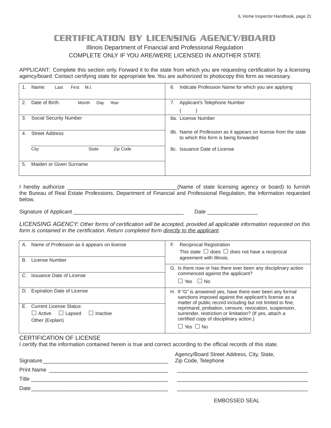## CERTIFICATION BY LICENSING AGENCY/BOARD

### Illinois Department of Financial and Professional Regulation COMPLETE ONLY IF YOU ARE/WERE LICENSED IN ANOTHER STATE

APPLICANT: Complete this section only. Forward it to the state from which you are requesting certification by a licensing agency/board. Contact certifying state for appropriate fee. You are authorized to photocopy this form as necessary.

|    | Name:<br>M.I.<br>First<br>Last         | Indicate Profession Name for which you are applying<br>6.                                               |
|----|----------------------------------------|---------------------------------------------------------------------------------------------------------|
| 2. | Date of Birth:<br>Month<br>Year<br>Day | Applicant's Telephone Number<br>7.                                                                      |
| 3. | Social Security Number                 | 8a. License Number                                                                                      |
| 4. | <b>Street Address</b>                  | 8b. Name of Profession as it appears on license from the state<br>to which this form is being forwarded |
|    | City<br>Zip Code<br><b>State</b>       | 8c. Issuance Date of License                                                                            |
| 5. | Maiden or Given Surname                |                                                                                                         |

I hereby authorize \_\_\_\_\_\_\_\_\_\_\_\_\_\_\_\_\_\_\_\_\_\_\_\_\_\_\_\_\_\_\_\_\_\_\_\_\_(Name of state licensing agency or board) to furnish the Bureau of Real Estate Professions, Department of Financial and Professional Regulation, the information requested below.

Signature of Applicant **Example 20** Signature of Applicant

*LICENSING AGENCY: Other forms of certification will be accepted, provided all applicable information requested on this form is contained in the certification. Return completed form directly to the applicant.*

| A. Name of Profession as it appears on license<br>License Number<br>В.                                                                               | F.<br><b>Reciprocal Registration</b><br>This state $\Box$ does $\Box$ does not have a reciprocal<br>agreement with Illinois.                                                                                                                                                                                                                                   |
|------------------------------------------------------------------------------------------------------------------------------------------------------|----------------------------------------------------------------------------------------------------------------------------------------------------------------------------------------------------------------------------------------------------------------------------------------------------------------------------------------------------------------|
| Issuance Date of License<br>C.                                                                                                                       | G. Is there now or has there ever been any disciplinary action<br>commenced against the applicant?<br>$\Box$ Yes $\Box$ No                                                                                                                                                                                                                                     |
| <b>Expiration Date of License</b><br>D.<br><b>Current License Status:</b><br>E.<br>$\Box$ Inactive<br>$\Box$ Active $\Box$ Lapsed<br>Other (Explain) | H. If "G" is answered yes, have there ever been any formal<br>sanctions imposed against the applicant's license as a<br>matter of public record including but not limited to fine,<br>reprimand, probation, censure, revocation, suspension,<br>surrender, restriction or limitation? (If yes, attach a<br>certified copy of disciplinary action.)<br>Yes □ No |

#### CERTIFICATION OF LICENSE

I certify that the information contained herein is true and correct according to the official records of this state.

| Signature         | Agency/Board Street Address, City, State,<br>Zip Code, Telephone |
|-------------------|------------------------------------------------------------------|
| <b>Print Name</b> |                                                                  |
| Title             |                                                                  |
| Date              |                                                                  |